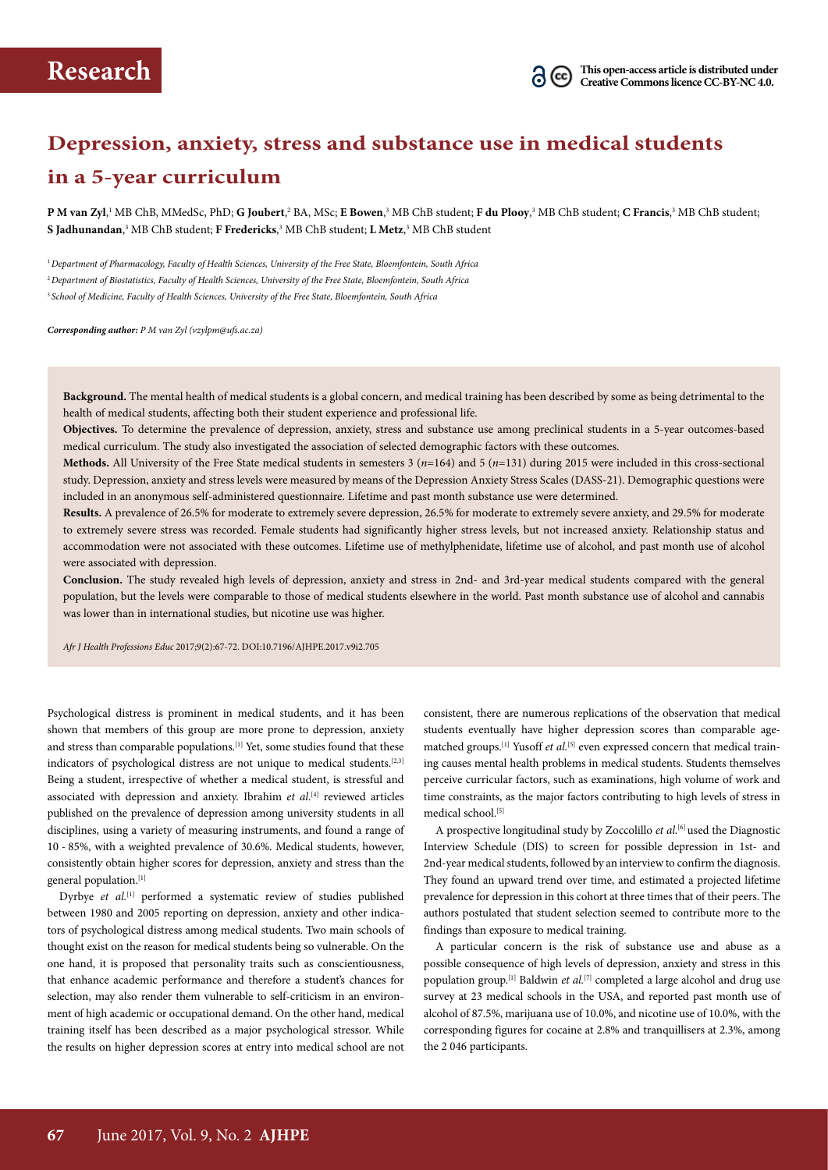# **Depression, anxiety, stress and substance use in medical students in a 5-year curriculum**

**P M van Zyl**,' MB ChB, MMedSc, PhD; **G Joubert**,<sup>2</sup> BA, MSc; **E Bowen**,<sup>3</sup> MB ChB student; **F du Plooy**,<sup>3</sup> MB ChB student; **C Francis**,<sup>3</sup> MB ChB student; **S Jadhunandan**, 3 MB ChB student; **F Fredericks**, 3 MB ChB student; **L Metz**, 3 MB ChB student

<sup>1</sup>*Department of Pharmacology, Faculty of Health Sciences, University of the Free State, Bloemfontein, South Africa* <sup>2</sup>*Department of Biostatistics, Faculty of Health Sciences, University of the Free State, Bloemfontein, South Africa* <sup>3</sup> *School of Medicine, Faculty of Health Sciences, University of the Free State, Bloemfontein, South Africa*

*Corresponding author: P M van Zyl (vzylpm@ufs.ac.za)*

**Background.** The mental health of medical students is a global concern, and medical training has been described by some as being detrimental to the health of medical students, affecting both their student experience and professional life.

**Objectives.** To determine the prevalence of depression, anxiety, stress and substance use among preclinical students in a 5-year outcomes-based medical curriculum. The study also investigated the association of selected demographic factors with these outcomes.

**Methods.** All University of the Free State medical students in semesters 3 (*n*=164) and 5 (*n*=131) during 2015 were included in this cross-sectional study. Depression, anxiety and stress levels were measured by means of the Depression Anxiety Stress Scales (DASS-21). Demographic questions were included in an anonymous self-administered questionnaire. Lifetime and past month substance use were determined.

**Results.** A prevalence of 26.5% for moderate to extremely severe depression, 26.5% for moderate to extremely severe anxiety, and 29.5% for moderate to extremely severe stress was recorded. Female students had significantly higher stress levels, but not increased anxiety. Relationship status and accommodation were not associated with these outcomes. Lifetime use of methylphenidate, lifetime use of alcohol, and past month use of alcohol were associated with depression.

**Conclusion.** The study revealed high levels of depression, anxiety and stress in 2nd- and 3rd-year medical students compared with the general population, but the levels were comparable to those of medical students elsewhere in the world. Past month substance use of alcohol and cannabis was lower than in international studies, but nicotine use was higher.

*Afr J Health Professions Educ* 2017;9(2):67-72. DOI:10.7196/AJHPE.2017.v9i2.705

Psychological distress is prominent in medical students, and it has been shown that members of this group are more prone to depression, anxiety and stress than comparable populations.<sup>[1]</sup> Yet, some studies found that these indicators of psychological distress are not unique to medical students.<sup>[2,3]</sup> Being a student, irrespective of whether a medical student, is stressful and associated with depression and anxiety. Ibrahim *et al*. [4] reviewed articles published on the prevalence of depression among university students in all disciplines, using a variety of measuring instruments, and found a range of 10 - 85%, with a weighted prevalence of 30.6%. Medical students, however, consistently obtain higher scores for depression, anxiety and stress than the general population.[1]

Dyrbye *et al.*<sup>[1]</sup> performed a systematic review of studies published between 1980 and 2005 reporting on depression, anxiety and other indicators of psychological distress among medical students. Two main schools of thought exist on the reason for medical students being so vulnerable. On the one hand, it is proposed that personality traits such as conscientiousness, that enhance academic performance and therefore a student's chances for selection, may also render them vulnerable to self-criticism in an environment of high academic or occupational demand. On the other hand, medical training itself has been described as a major psychological stressor. While the results on higher depression scores at entry into medical school are not

consistent, there are numerous replications of the observation that medical students eventually have higher depression scores than comparable agematched groups.<sup>[1]</sup> Yusoff *et al.*<sup>[5]</sup> even expressed concern that medical training causes mental health problems in medical students. Students themselves perceive curricular factors, such as examinations, high volume of work and time constraints, as the major factors contributing to high levels of stress in medical school.<sup>[5]</sup>

A prospective longitudinal study by Zoccolillo *et al*. [6] used the Diagnostic Interview Schedule (DIS) to screen for possible depression in 1st- and 2nd-year medical students, followed by an interview to confirm the diagnosis. They found an upward trend over time, and estimated a projected lifetime prevalence for depression in this cohort at three times that of their peers. The authors postulated that student selection seemed to contribute more to the findings than exposure to medical training.

A particular concern is the risk of substance use and abuse as a possible consequence of high levels of depression, anxiety and stress in this population group.<sup>[1]</sup> Baldwin *et al.*<sup>[7]</sup> completed a large alcohol and drug use survey at 23 medical schools in the USA, and reported past month use of alcohol of 87.5%, marijuana use of 10.0%, and nicotine use of 10.0%, with the corresponding figures for cocaine at 2.8% and tranquillisers at 2.3%, among the 2 046 participants.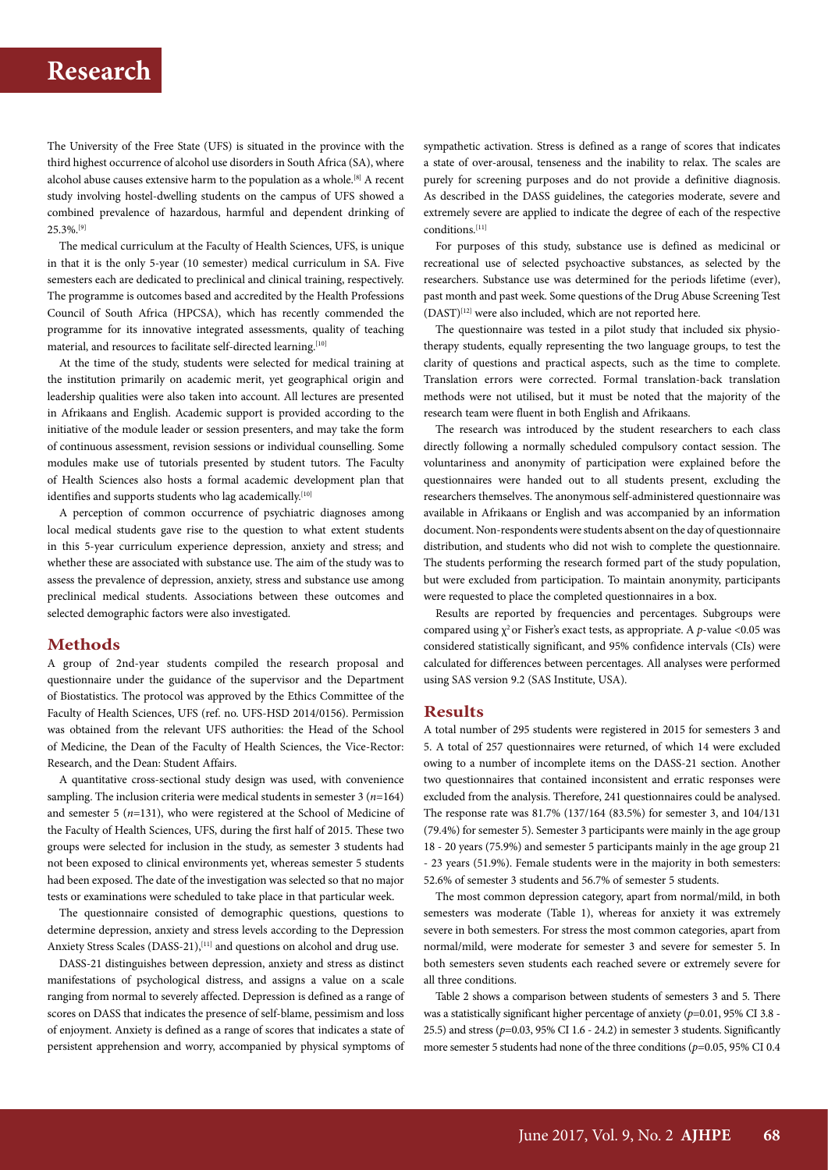The University of the Free State (UFS) is situated in the province with the third highest occurrence of alcohol use disorders in South Africa (SA), where alcohol abuse causes extensive harm to the population as a whole.[8] A recent study involving hostel-dwelling students on the campus of UFS showed a combined prevalence of hazardous, harmful and dependent drinking of 25.3%.[9]

The medical curriculum at the Faculty of Health Sciences, UFS, is unique in that it is the only 5-year (10 semester) medical curriculum in SA. Five semesters each are dedicated to preclinical and clinical training, respectively. The programme is outcomes based and accredited by the Health Professions Council of South Africa (HPCSA), which has recently commended the programme for its innovative integrated assessments, quality of teaching material, and resources to facilitate self-directed learning.[10]

At the time of the study, students were selected for medical training at the institution primarily on academic merit, yet geographical origin and leadership qualities were also taken into account. All lectures are presented in Afrikaans and English. Academic support is provided according to the initiative of the module leader or session presenters, and may take the form of continuous assessment, revision sessions or individual counselling. Some modules make use of tutorials presented by student tutors. The Faculty of Health Sciences also hosts a formal academic development plan that identifies and supports students who lag academically.<sup>[10]</sup>

A perception of common occurrence of psychiatric diagnoses among local medical students gave rise to the question to what extent students in this 5-year curriculum experience depression, anxiety and stress; and whether these are associated with substance use. The aim of the study was to assess the prevalence of depression, anxiety, stress and substance use among preclinical medical students. Associations between these outcomes and selected demographic factors were also investigated.

### **Methods**

A group of 2nd-year students compiled the research proposal and questionnaire under the guidance of the supervisor and the Department of Biostatistics. The protocol was approved by the Ethics Committee of the Faculty of Health Sciences, UFS (ref. no. UFS-HSD 2014/0156). Permission was obtained from the relevant UFS authorities: the Head of the School of Medicine, the Dean of the Faculty of Health Sciences, the Vice-Rector: Research, and the Dean: Student Affairs.

A quantitative cross-sectional study design was used, with convenience sampling. The inclusion criteria were medical students in semester 3 (*n*=164) and semester 5 (*n*=131), who were registered at the School of Medicine of the Faculty of Health Sciences, UFS, during the first half of 2015. These two groups were selected for inclusion in the study, as semester 3 students had not been exposed to clinical environments yet, whereas semester 5 students had been exposed. The date of the investigation was selected so that no major tests or examinations were scheduled to take place in that particular week.

The questionnaire consisted of demographic questions, questions to determine depression, anxiety and stress levels according to the Depression Anxiety Stress Scales (DASS-21),<sup>[11]</sup> and questions on alcohol and drug use.

DASS-21 distinguishes between depression, anxiety and stress as distinct manifestations of psychological distress, and assigns a value on a scale ranging from normal to severely affected. Depression is defined as a range of scores on DASS that indicates the presence of self-blame, pessimism and loss of enjoyment. Anxiety is defined as a range of scores that indicates a state of persistent apprehension and worry, accompanied by physical symptoms of

sympathetic activation. Stress is defined as a range of scores that indicates a state of over-arousal, tenseness and the inability to relax. The scales are purely for screening purposes and do not provide a definitive diagnosis. As described in the DASS guidelines, the categories moderate, severe and extremely severe are applied to indicate the degree of each of the respective conditions.[11]

For purposes of this study, substance use is defined as medicinal or recreational use of selected psychoactive substances, as selected by the researchers. Substance use was determined for the periods lifetime (ever), past month and past week. Some questions of the Drug Abuse Screening Test (DAST)[12] were also included, which are not reported here.

The questionnaire was tested in a pilot study that included six physiotherapy students, equally representing the two language groups, to test the clarity of questions and practical aspects, such as the time to complete. Translation errors were corrected. Formal translation-back translation methods were not utilised, but it must be noted that the majority of the research team were fluent in both English and Afrikaans.

The research was introduced by the student researchers to each class directly following a normally scheduled compulsory contact session. The voluntariness and anonymity of participation were explained before the questionnaires were handed out to all students present, excluding the researchers themselves. The anonymous self-administered questionnaire was available in Afrikaans or English and was accompanied by an information document. Non-respondents were students absent on the day of questionnaire distribution, and students who did not wish to complete the questionnaire. The students performing the research formed part of the study population, but were excluded from participation. To maintain anonymity, participants were requested to place the completed questionnaires in a box.

Results are reported by frequencies and percentages. Subgroups were compared using χ<sup>2</sup> or Fisher's exact tests, as appropriate. A *p*-value <0.05 was considered statistically significant, and 95% confidence intervals (CIs) were calculated for differences between percentages. All analyses were performed using SAS version 9.2 (SAS Institute, USA).

### **Results**

A total number of 295 students were registered in 2015 for semesters 3 and 5. A total of 257 questionnaires were returned, of which 14 were excluded owing to a number of incomplete items on the DASS-21 section. Another two questionnaires that contained inconsistent and erratic responses were excluded from the analysis. Therefore, 241 questionnaires could be analysed. The response rate was 81.7% (137/164 (83.5%) for semester 3, and 104/131 (79.4%) for semester 5). Semester 3 participants were mainly in the age group 18 - 20 years (75.9%) and semester 5 participants mainly in the age group 21 - 23 years (51.9%). Female students were in the majority in both semesters: 52.6% of semester 3 students and 56.7% of semester 5 students.

The most common depression category, apart from normal/mild, in both semesters was moderate (Table 1), whereas for anxiety it was extremely severe in both semesters. For stress the most common categories, apart from normal/mild, were moderate for semester 3 and severe for semester 5. In both semesters seven students each reached severe or extremely severe for all three conditions.

Table 2 shows a comparison between students of semesters 3 and 5. There was a statistically significant higher percentage of anxiety ( $p=0.01$ , 95% CI 3.8 -25.5) and stress (*p*=0.03, 95% CI 1.6 - 24.2) in semester 3 students. Significantly more semester 5 students had none of the three conditions (*p*=0.05, 95% CI 0.4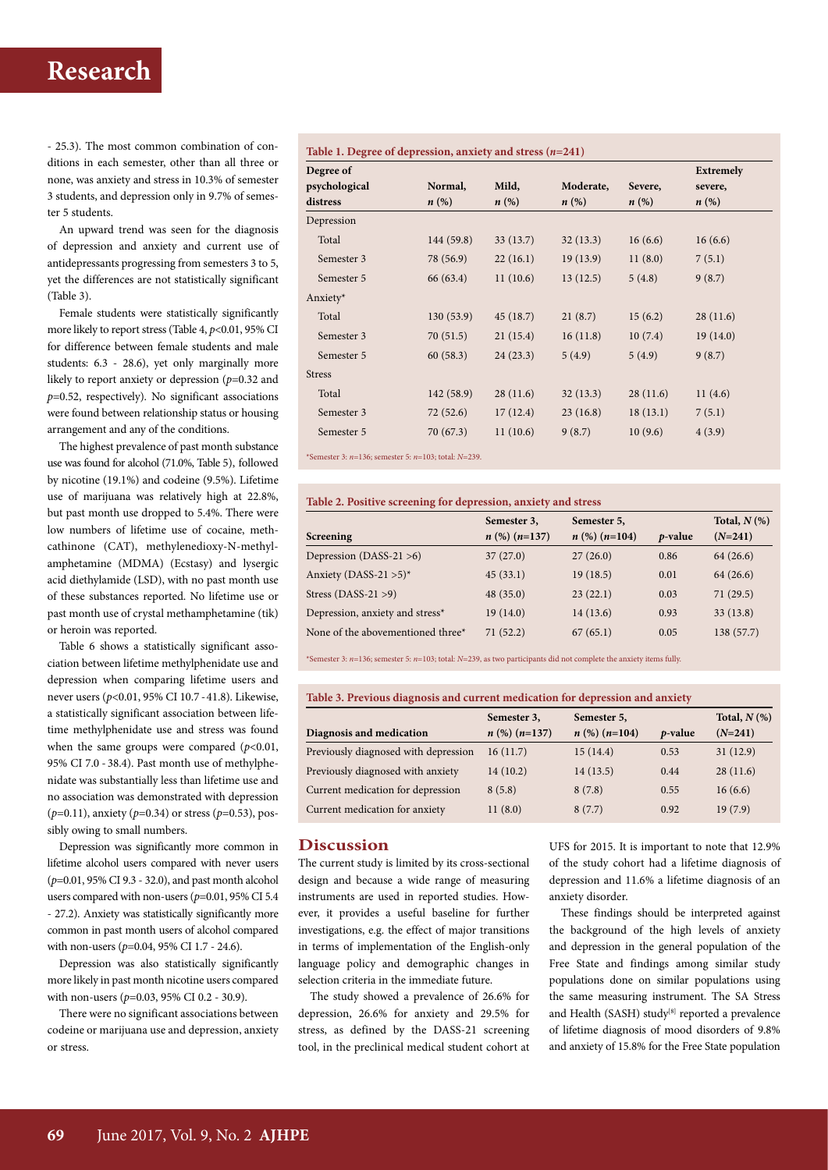- 25.3). The most common combination of conditions in each semester, other than all three or none, was anxiety and stress in 10.3% of semester 3 students, and depression only in 9.7% of semes ter 5 students.

An upward trend was seen for the diagnosis of depression and anxiety and current use of antidepressants progressing from semesters 3 to 5, yet the differences are not statistically significant (Table 3).

Female students were statistically significantly more likely to report stress (Table 4,  $p<0.01$ , 95% CI for difference between female students and male students: 6.3 - 28.6), yet only marginally more likely to report anxiety or depression (*p*=0.32 and *p*=0.52, respectively). No significant associations were found between relationship status or housing arrangement and any of the conditions.

The highest prevalence of past month substance use was found for alcohol (71.0%, Table 5), followed by nicotine (19.1%) and codeine (9.5%). Lifetime use of marijuana was relatively high at 22.8%, but past month use dropped to 5.4%. There were low numbers of lifetime use of cocaine, methcathinone (CAT), methylenedioxy-N-methylamphetamine (MDMA) (Ecstasy) and lysergic acid diethylamide (LSD), with no past month use of these substances reported. No lifetime use or past month use of crystal methamphetamine (tik) or heroin was reported.

Table 6 shows a statistically significant association between lifetime methylphenidate use and depression when comparing lifetime users and never users (*p*<0.01, 95% CI 10.7 - 41.8). Likewise, a statistically significant association between lifetime methylphenidate use and stress was found when the same groups were compared  $(p<0.01,$ 95% CI 7.0 - 38.4). Past month use of methylphenidate was substantially less than lifetime use and no association was demonstrated with depression (*p*=0.11), anxiety (*p*=0.34) or stress (*p*=0.53), possibly owing to small numbers.

Depression was significantly more common in lifetime alcohol users compared with never users (*p*=0.01, 95% CI 9.3 - 32.0), and past month alcohol users compared with non-users (*p*=0.01, 95% CI 5.4 - 27.2). Anxiety was statistically significantly more common in past month users of alcohol compared with non-users (*p*=0.04, 95% CI 1.7 - 24.6).

Depression was also statistically significantly more likely in past month nicotine users compared with non-users (*p*=0.03, 95% CI 0.2 - 30.9).

There were no significant associations between codeine or marijuana use and depression, anxiety or stress.

#### **Table 1. Degree of depression, anxiety and stress (***n***=241)**

| Degree of     |                    |          |           |                    | <b>Extremely</b> |  |
|---------------|--------------------|----------|-----------|--------------------|------------------|--|
| psychological | Normal,            | Mild,    | Moderate, | Severe,            | severe,          |  |
| distress      | $n\left(\%\right)$ | $n(\%)$  | $n(\%)$   | $n\left(\%\right)$ | $n(\%)$          |  |
| Depression    |                    |          |           |                    |                  |  |
| Total         | 144 (59.8)         | 33(13.7) | 32(13.3)  | 16(6.6)            | 16(6.6)          |  |
| Semester 3    | 78 (56.9)          | 22(16.1) | 19(13.9)  | 11(8.0)            | 7(5.1)           |  |
| Semester 5    | 66 (63.4)          | 11(10.6) | 13(12.5)  | 5(4.8)             | 9(8.7)           |  |
| Anxiety*      |                    |          |           |                    |                  |  |
| Total         | 130(53.9)          | 45(18.7) | 21(8.7)   | 15(6.2)            | 28(11.6)         |  |
| Semester 3    | 70(51.5)           | 21(15.4) | 16(11.8)  | 10(7.4)            | 19(14.0)         |  |
| Semester 5    | 60(58.3)           | 24(23.3) | 5(4.9)    | 5(4.9)             | 9(8.7)           |  |
| <b>Stress</b> |                    |          |           |                    |                  |  |
| Total         | 142 (58.9)         | 28(11.6) | 32(13.3)  | 28(11.6)           | 11(4.6)          |  |
| Semester 3    | 72(52.6)           | 17(12.4) | 23(16.8)  | 18(13.1)           | 7(5.1)           |  |
| Semester 5    | 70 (67.3)          | 11(10.6) | 9(8.7)    | 10(9.6)            | 4(3.9)           |  |

\*Semester 3: *n*=136; semester 5: *n*=103; total: *N*=239.

#### **Table 2. Positive screening for depression, anxiety and stress**

|                                   | Semester 3,       | Semester 5,       |                 | Total, $N$ $(\%)$ |
|-----------------------------------|-------------------|-------------------|-----------------|-------------------|
| Screening                         | $n$ (%) $(n=137)$ | $n$ (%) $(n=104)$ | <i>p</i> -value | $(N=241)$         |
| Depression (DASS-21 $>6$ )        | 37(27.0)          | 27(26.0)          | 0.86            | 64(26.6)          |
| Anxiety (DASS-21 $>5$ )*          | 45(33.1)          | 19(18.5)          | 0.01            | 64(26.6)          |
| Stress (DASS-21 $>9$ )            | 48(35.0)          | 23(22.1)          | 0.03            | 71(29.5)          |
| Depression, anxiety and stress*   | 19(14.0)          | 14(13.6)          | 0.93            | 33(13.8)          |
| None of the abovementioned three* | 71(52.2)          | 67(65.1)          | 0.05            | 138 (57.7)        |

\*Semester 3: *n*=136; semester 5: *n*=103; total: *N*=239, as two participants did not complete the anxiety items fully.

#### **Table 3. Previous diagnosis and current medication for depression and anxiety**

| Diagnosis and medication             | Semester 3,<br>$n$ (%) $(n=137)$ | Semester 5,<br>$n$ (%) $(n=104)$ | p-value | Total, $N$ $(\%)$<br>$(N=241)$ |
|--------------------------------------|----------------------------------|----------------------------------|---------|--------------------------------|
| Previously diagnosed with depression | 16(11.7)                         | 15(14.4)                         | 0.53    | 31(12.9)                       |
| Previously diagnosed with anxiety    | 14(10.2)                         | 14(13.5)                         | 0.44    | 28(11.6)                       |
| Current medication for depression    | 8(5.8)                           | 8(7.8)                           | 0.55    | 16(6.6)                        |
| Current medication for anxiety       | 11(8.0)                          | 8(7.7)                           | 0.92    | 19(7.9)                        |

#### **Discussion**

The current study is limited by its cross-sectional design and because a wide range of measuring instruments are used in reported studies. However, it provides a useful baseline for further investigations, e.g. the effect of major transitions in terms of implementation of the English-only language policy and demographic changes in selection criteria in the immediate future.

The study showed a prevalence of 26.6% for depression, 26.6% for anxiety and 29.5% for stress, as defined by the DASS-21 screening tool, in the preclinical medical student cohort at UFS for 2015. It is important to note that 12.9% of the study cohort had a lifetime diagnosis of depression and 11.6% a lifetime diagnosis of an anxiety disorder.

These findings should be interpreted against the background of the high levels of anxiety and depression in the general population of the Free State and findings among similar study populations done on similar populations using the same measuring instrument. The SA Stress and Health (SASH) study<sup>[8]</sup> reported a prevalence of lifetime diagnosis of mood disorders of 9.8% and anxiety of 15.8% for the Free State population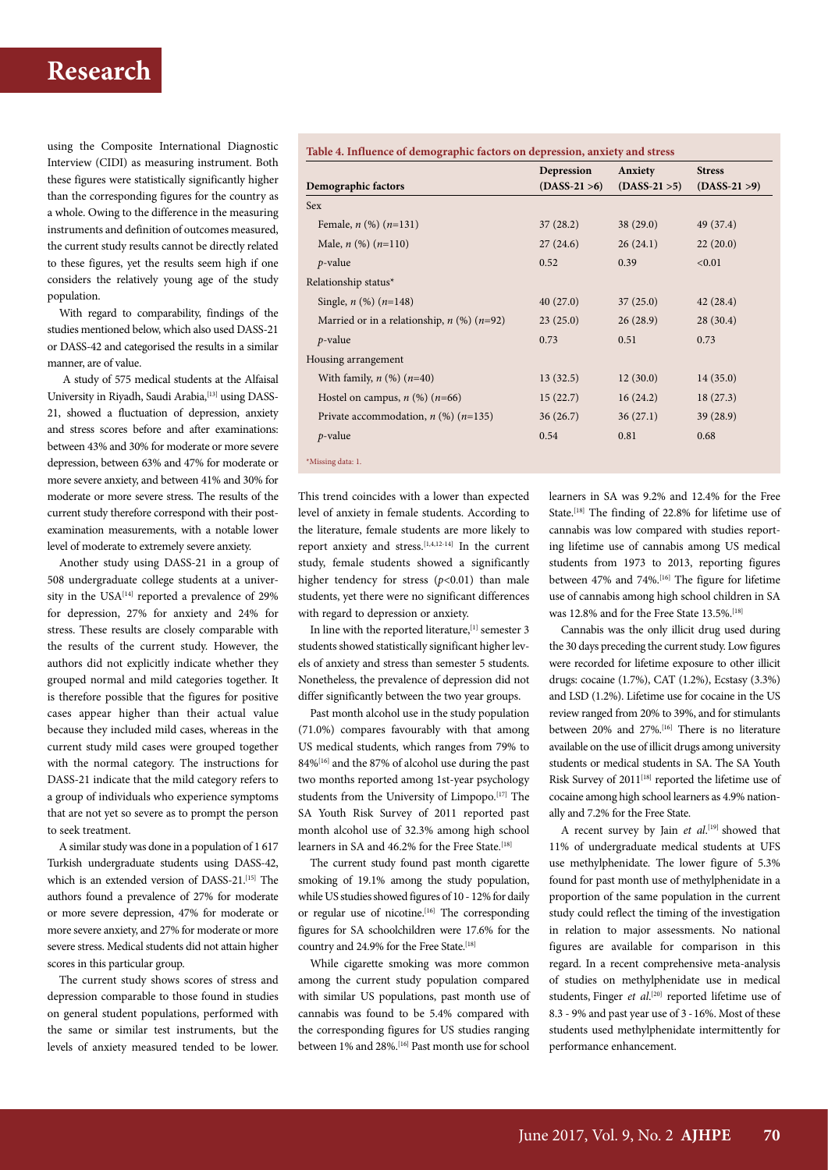using the Composite International Diagnostic Interview (CIDI) as measuring instrument. Both these figures were statistically significantly higher than the corresponding figures for the country as a whole. Owing to the difference in the measuring instruments and definition of outcomes measured, the current study results cannot be directly related to these figures, yet the results seem high if one considers the relatively young age of the study population.

With regard to comparability, findings of the studies mentioned below, which also used DASS-21 or DASS-42 and categorised the results in a similar manner, are of value.

 A study of 575 medical students at the Alfaisal University in Riyadh, Saudi Arabia, <a>[13]</a> using DASS-21, showed a fluctuation of depression, anxiety and stress scores before and after examinations: between 43% and 30% for moderate or more severe depression, between 63% and 47% for moderate or more severe anxiety, and between 41% and 30% for moderate or more severe stress. The results of the current study therefore correspond with their postexamination measurements, with a notable lower level of moderate to extremely severe anxiety.

Another study using DASS-21 in a group of 508 undergraduate college students at a university in the USA<sup>[14]</sup> reported a prevalence of 29% for depression, 27% for anxiety and 24% for stress. These results are closely comparable with the results of the current study. However, the authors did not explicitly indicate whether they grouped normal and mild categories together. It is therefore possible that the figures for positive cases appear higher than their actual value because they included mild cases, whereas in the current study mild cases were grouped together with the normal category. The instructions for DASS-21 indicate that the mild category refers to a group of individuals who experience symptoms that are not yet so severe as to prompt the person to seek treatment.

A similar study was done in a population of 1 617 Turkish undergraduate students using DASS-42, which is an extended version of DASS-21.<sup>[15]</sup> The authors found a prevalence of 27% for moderate or more severe depression, 47% for moderate or more severe anxiety, and 27% for moderate or more severe stress. Medical students did not attain higher scores in this particular group.

The current study shows scores of stress and depression comparable to those found in studies on general student populations, performed with the same or similar test instruments, but the levels of anxiety measured tended to be lower. **Table 4. Influence of demographic factors on depression, anxiety and stress** 

|                                                  | Depression      | Anxiety         | <b>Stress</b>   |
|--------------------------------------------------|-----------------|-----------------|-----------------|
| Demographic factors                              | $(DASS-21 > 6)$ | $(DASS-21 > 5)$ | $(DASS-21 > 9)$ |
| Sex                                              |                 |                 |                 |
| Female, $n$ (%) $(n=131)$                        | 37(28.2)        | 38 (29.0)       | 49 (37.4)       |
| Male, $n$ (%) $(n=110)$                          | 27(24.6)        | 26(24.1)        | 22(20.0)        |
| $p$ -value                                       | 0.52            | 0.39            | < 0.01          |
| Relationship status*                             |                 |                 |                 |
| Single, $n$ (%) $(n=148)$                        | 40(27.0)        | 37(25.0)        | 42(28.4)        |
| Married or in a relationship, $n$ (%) ( $n=92$ ) | 23(25.0)        | 26(28.9)        | 28(30.4)        |
| $p$ -value                                       | 0.73            | 0.51            | 0.73            |
| Housing arrangement                              |                 |                 |                 |
| With family, $n$ (%) $(n=40)$                    | 13(32.5)        | 12(30.0)        | 14(35.0)        |
| Hostel on campus, $n$ (%) ( $n=66$ )             | 15(22.7)        | 16(24.2)        | 18(27.3)        |
| Private accommodation, $n$ (%) ( $n=135$ )       | 36(26.7)        | 36(27.1)        | 39 (28.9)       |
| $p$ -value                                       | 0.54            | 0.81            | 0.68            |
| *Missing data: 1.                                |                 |                 |                 |
|                                                  |                 |                 |                 |

This trend coincides with a lower than expected level of anxiety in female students. According to the literature, female students are more likely to report anxiety and stress.<sup>[1,4,12-14]</sup> In the current study, female students showed a significantly higher tendency for stress ( $p$ <0.01) than male students, yet there were no significant differences with regard to depression or anxiety.

In line with the reported literature,  $\left[1\right]$  semester 3 students showed statistically significant higher levels of anxiety and stress than semester 5 students. Nonetheless, the prevalence of depression did not differ significantly between the two year groups.

Past month alcohol use in the study population (71.0%) compares favourably with that among US medical students, which ranges from 79% to 84%[16] and the 87% of alcohol use during the past two months reported among 1st-year psychology students from the University of Limpopo.<sup>[17]</sup> The SA Youth Risk Survey of 2011 reported past month alcohol use of 32.3% among high school learners in SA and 46.2% for the Free State.<sup>[18]</sup>

The current study found past month cigarette smoking of 19.1% among the study population, while US studies showed figures of 10 - 12% for daily or regular use of nicotine.<sup>[16]</sup> The corresponding figures for SA schoolchildren were 17.6% for the country and 24.9% for the Free State.<sup>[18]</sup>

While cigarette smoking was more common among the current study population compared with similar US populations, past month use of cannabis was found to be 5.4% compared with the corresponding figures for US studies ranging between 1% and 28%.[16] Past month use for school

learners in SA was 9.2% and 12.4% for the Free State.<sup>[18]</sup> The finding of 22.8% for lifetime use of cannabis was low compared with studies reporting lifetime use of cannabis among US medical students from 1973 to 2013, reporting figures between 47% and 74%.<sup>[16]</sup> The figure for lifetime use of cannabis among high school children in SA was 12.8% and for the Free State 13.5%.[18]

Cannabis was the only illicit drug used during the 30 days preceding the current study. Low figures were recorded for lifetime exposure to other illicit drugs: cocaine (1.7%), CAT (1.2%), Ecstasy (3.3%) and LSD (1.2%). Lifetime use for cocaine in the US review ranged from 20% to 39%, and for stimulants between 20% and 27%.<sup>[16]</sup> There is no literature available on the use of illicit drugs among university students or medical students in SA. The SA Youth Risk Survey of 2011<sup>[18]</sup> reported the lifetime use of cocaine among high school learners as 4.9% nationally and 7.2% for the Free State.

A recent survey by Jain *et al*. [19] showed that 11% of undergraduate medical students at UFS use methylphenidate. The lower figure of 5.3% found for past month use of methylphenidate in a proportion of the same population in the current study could reflect the timing of the investigation in relation to major assessments. No national figures are available for comparison in this regard. In a recent comprehensive meta-analysis of studies on methylphenidate use in medical students, Finger et al.<sup>[20]</sup> reported lifetime use of 8.3 - 9% and past year use of 3 - 16%. Most of these students used methylphenidate intermittently for performance enhancement.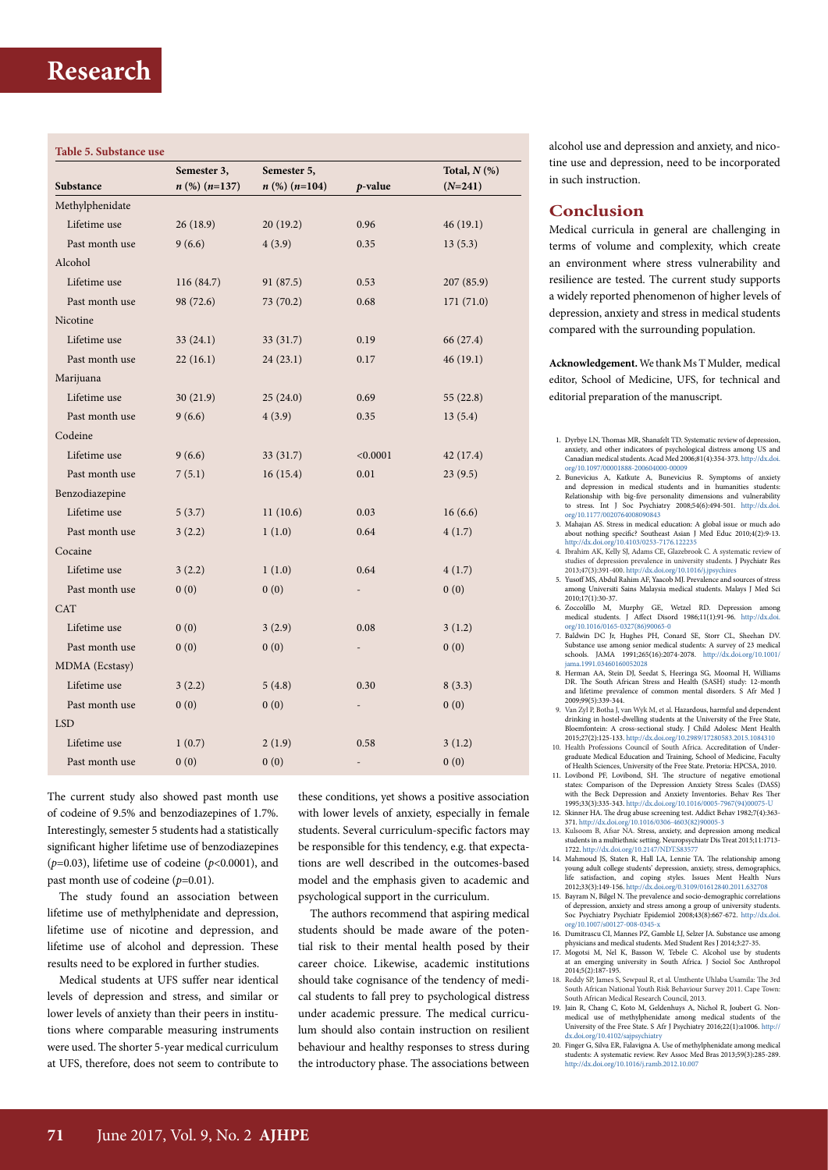### **Table 5. Substance use**

|                 | Semester 3,       | Semester 5,       |                          | Total, $N$ $(\%)$ |
|-----------------|-------------------|-------------------|--------------------------|-------------------|
| Substance       | $n$ (%) $(n=137)$ | $n$ (%) $(n=104)$ | $p$ -value               | $(N=241)$         |
| Methylphenidate |                   |                   |                          |                   |
| Lifetime use    | 26(18.9)          | 20(19.2)          | 0.96                     | 46(19.1)          |
| Past month use  | 9(6.6)            | 4(3.9)            | 0.35                     | 13(5.3)           |
| Alcohol         |                   |                   |                          |                   |
| Lifetime use    | 116 (84.7)        | 91 (87.5)         | 0.53                     | 207 (85.9)        |
| Past month use  | 98 (72.6)         | 73 (70.2)         | 0.68                     | 171 (71.0)        |
| Nicotine        |                   |                   |                          |                   |
| Lifetime use    | 33(24.1)          | 33 (31.7)         | 0.19                     | 66 (27.4)         |
| Past month use  | 22(16.1)          | 24(23.1)          | 0.17                     | 46(19.1)          |
| Marijuana       |                   |                   |                          |                   |
| Lifetime use    | 30(21.9)          | 25(24.0)          | 0.69                     | 55(22.8)          |
| Past month use  | 9(6.6)            | 4(3.9)            | 0.35                     | 13(5.4)           |
| Codeine         |                   |                   |                          |                   |
| Lifetime use    | 9(6.6)            | 33(31.7)          | < 0.0001                 | 42 (17.4)         |
| Past month use  | 7(5.1)            | 16(15.4)          | 0.01                     | 23(9.5)           |
| Benzodiazepine  |                   |                   |                          |                   |
| Lifetime use    | 5(3.7)            | 11(10.6)          | 0.03                     | 16(6.6)           |
| Past month use  | 3(2.2)            | 1(1.0)            | 0.64                     | 4(1.7)            |
| Cocaine         |                   |                   |                          |                   |
| Lifetime use    | 3(2.2)            | 1(1.0)            | 0.64                     | 4(1.7)            |
| Past month use  | 0(0)              | 0(0)              |                          | 0(0)              |
| <b>CAT</b>      |                   |                   |                          |                   |
| Lifetime use    | 0(0)              | 3(2.9)            | 0.08                     | 3(1.2)            |
| Past month use  | 0(0)              | 0(0)              | $\overline{\phantom{m}}$ | 0(0)              |
| MDMA (Ecstasy)  |                   |                   |                          |                   |
| Lifetime use    | 3(2.2)            | 5(4.8)            | 0.30                     | 8(3.3)            |
| Past month use  | 0(0)              | 0(0)              | $\overline{a}$           | 0(0)              |
| <b>LSD</b>      |                   |                   |                          |                   |
| Lifetime use    | 1(0.7)            | 2(1.9)            | 0.58                     | 3(1.2)            |
| Past month use  | 0(0)              | 0(0)              |                          | 0(0)              |
|                 |                   |                   |                          |                   |

The current study also showed past month use of codeine of 9.5% and benzodiazepines of 1.7%. Interestingly, semester 5 students had a statistically significant higher lifetime use of benzodiazepines (*p*=0.03), lifetime use of codeine (*p*<0.0001), and past month use of codeine (*p*=0.01).

The study found an association between lifetime use of methylphenidate and depression, lifetime use of nicotine and depression, and lifetime use of alcohol and depression. These results need to be explored in further studies.

Medical students at UFS suffer near identical levels of depression and stress, and similar or lower levels of anxiety than their peers in institutions where comparable measuring instruments were used. The shorter 5-year medical curriculum at UFS, therefore, does not seem to contribute to

these conditions, yet shows a positive association with lower levels of anxiety, especially in female students. Several curriculum-specific factors may be responsible for this tendency, e.g. that expectations are well described in the outcomes-based model and the emphasis given to academic and psychological support in the curriculum.

The authors recommend that aspiring medical students should be made aware of the potential risk to their mental health posed by their career choice. Likewise, academic institutions should take cognisance of the tendency of medical students to fall prey to psychological distress under academic pressure. The medical curriculum should also contain instruction on resilient behaviour and healthy responses to stress during the introductory phase. The associations between

alcohol use and depression and anxiety, and nicotine use and depression, need to be incorporated in such instruction.

### **Conclusion**

Medical curricula in general are challenging in terms of volume and complexity, which create an environment where stress vulnerability and resilience are tested. The current study supports a widely reported phenomenon of higher levels of depression, anxiety and stress in medical students compared with the surrounding population.

**Acknowledgement.** We thank Ms T Mulder, medical editor, School of Medicine, UFS, for technical and editorial preparation of the manuscript.

- 1. Dyrbye LN, Thomas MR, Shanafelt TD. Systematic review of depression, anxiety, and other indicators of psychological distress among US and Canadian medical students. Acad Med 2006;81(4):354-373. [http://dx.doi.](http://dx.doi.org/10.1097/00001888-200604000-00009) [org/10.1097/00001888-200604000-00009](http://dx.doi.org/10.1097/00001888-200604000-00009)
- 2. Bunevicius A, Katkute A, Bunevicius R. Symptoms of anxiety and depression in medical students and in humanities students: Relationship with big-five personality dimensions and vulnerability to stress. Int J Soc Psychiatry 2008;54(6):494-501. [http://dx.doi.](http://dx.doi.org/10.1177/0020764008090843) [org/10.1177/0020764008090843](http://dx.doi.org/10.1177/0020764008090843)
- 3. Mahajan AS. Stress in medical education: A global issue or much ado about nothing specific? Southeast Asian J Med Educ 2010;4(2):9-13. http://dx.doi.org/10.4103/0253-7176.122235
- 4. Ibrahim AK, Kelly SJ, Adams CE, Glazebrook C. A systematic review of studies of depression prevalence in university students. J Psychiatr Res 2013;47(3):391-400. http://dx.doi.org/10.1016/j.jpsychires
- 5. Yusoff MS, Abdul Rahim AF, Yaacob MJ. Prevalence and sources of stress among Universiti Sains Malaysia medical students. Malays J Med Sci  $2010;17(1):30-37.$ <br>6. Zoccolillo M,
- 6. Zoccolillo M, Murphy GE, Wetzel RD. Depression among medical students. J Affect Disord 1986;11(1):91-96. [http://dx.doi.](http://dx.doi.org/10.1016/0165-0327(86)90065-0) [org/10.1016/0165-0327\(86\)90065-0](http://dx.doi.org/10.1016/0165-0327(86)90065-0) 7. Baldwin DC Jr, Hughes PH, Conard SE, Storr CL, Sheehan DV.
- Substance use among senior medical students: A survey of 23 medical schools. JAMA 1991;265(16):2074-2078. [http://dx.doi.org/10.1001/](http://dx.doi.org/10.1001/jama.1991.03460160052028) [jama.1991.03460160052028](http://dx.doi.org/10.1001/jama.1991.03460160052028)
- 8. Herman AA, Stein DJ, Seedat S, Heeringa SG, Moomal H, Williams DR. The South African Stress and Health (SASH) study: 12-month and lifetime prevalence of common mental disorders. S Afr Med J 2009;99(5):339-344.
- 9. Van Zyl P, Botha J, van Wyk M, et al. Hazardous, harmful and dependent drinking in hostel-dwelling students at the University of the Free State, Bloemfontein: A cross-sectional study. J Child Adolesc Ment Health 2015;27(2):125-133. http://dx.doi.org/10.2989/17280583.2015.1084310
- 10. Health Professions Council of South Africa. Accreditation of Under-graduate Medical Education and Training, School of Medicine, Faculty of Health Sciences, University of the Free State. Pretoria: HPCSA, 2010.
- 11. Lovibond PF, Lovibond, SH. The structure of negative emotional states: Comparison of the Depression Anxiety Stress Scales (DASS) with the Beck Depression and Anxiety Inventories. Behav Res Ther 1995;33(3):335-343. [http://dx.doi.org/10.1016/0005-7967\(94\)00075-U](http://dx.doi.org/10.1016/0005-7967(94)00075-U)
- 12. Skinner HA. The drug abuse screening test. Addict Behav 1982;7(4):363-<br>12. Skinner HA. The drug abuse screening test. Addict Behav 1982;7(4):363-
- 371. [http://dx.doi.org/10.1016/0306-4603\(82\)90005-3](http://dx.doi.org/10.1016/0306-4603(82)90005-3) 13. Kulsoom B, Afsar NA. Stress, anxiety, and depression among medical students in a multiethnic setting. Neuropsychiatr Dis Treat 2015;11:1713- 1722. http://dx.doi.org/10.2147/NDT.S83577
- 14. Mahmoud JS, Staten R, Hall LA, Lennie TA. The relationship among young adult college students' depression, anxiety, stress, demographics, life satisfaction, and coping styles. Issues Ment Health Nurs 2012;33(3):149-156. http://dx.doi.org/0.3109/01612840.2011.632708
- 15. Bayram N, Bilgel N. The prevalence and socio-demographic correlations of depression, anxiety and stress among a group of university students. Soc Psychiatry Psychiatr Epidemiol 2008;43(8):667-672. [http://dx.doi.](http://dx.doi.org/10.1007/s00127-008-0345-x) [org/10.1007/s00127-008-0345-x](http://dx.doi.org/10.1007/s00127-008-0345-x)
- 16. Dumitrascu CI, Mannes PZ, Gamble LJ, Selzer JA. Substance use among
- physicians and medical students. Med Student Res J 2014;3:27-35. 17. Mogotsi M, Nel K, Basson W, Tebele C. Alcohol use by students at an emerging university in South Africa. J Sociol Soc Anthropol ac an emerging<br>2014:5(2):187-195.
- 18. Reddy SP, James S, Sewpaul R, et al. Umthente Uhlaba Usamila: The 3rd South African National Youth Risk Behaviour Survey 2011. Cape Town: South African Medical Research Council, 2013.
- 19. Jain R, Chang C, Koto M, Geldenhuys A, Nichol R, Joubert G. Nonmedical use of methylphenidate among medical students of the University of the Free State. S Afr J Psychiatry 2016;22(1):a1006. [http://](http://dx.doi.org/10.4102/sajpsychiatry)
- [dx.doi.org/10.4102/sajpsychiatry](http://dx.doi.org/10.4102/sajpsychiatry) 20. Finger G, Silva ER, Falavigna A. Use of methylphenidate among medical students: A systematic review. Rev Assoc Med Bras 2013;59(3):285-289. http://dx.doi.org/10.1016/j.ramb.2012.10.007